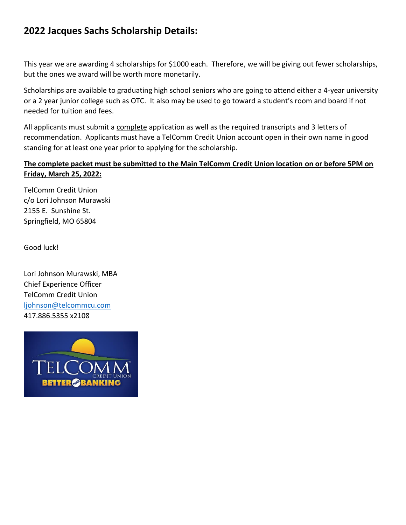### **2022 Jacques Sachs Scholarship Details:**

This year we are awarding 4 scholarships for \$1000 each. Therefore, we will be giving out fewer scholarships, but the ones we award will be worth more monetarily.

Scholarships are available to graduating high school seniors who are going to attend either a 4-year university or a 2 year junior college such as OTC. It also may be used to go toward a student's room and board if not needed for tuition and fees.

All applicants must submit a complete application as well as the required transcripts and 3 letters of recommendation. Applicants must have a TelComm Credit Union account open in their own name in good standing for at least one year prior to applying for the scholarship.

#### **The complete packet must be submitted to the Main TelComm Credit Union location on or before 5PM on Friday, March 25, 2022:**

TelComm Credit Union c/o Lori Johnson Murawski 2155 E. Sunshine St. Springfield, MO 65804

Good luck!

Lori Johnson Murawski, MBA Chief Experience Officer TelComm Credit Union [ljohnson@telcommcu.com](mailto:ljohnson@telcommcu.com) 417.886.5355 x2108

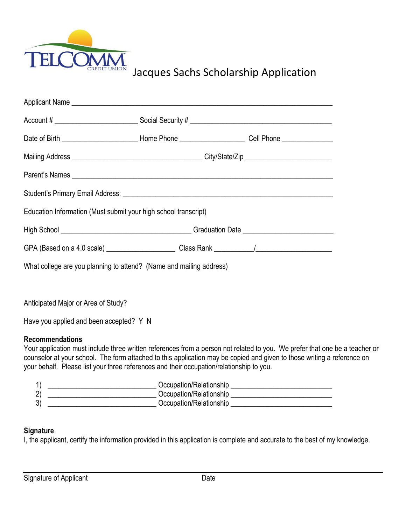

## Jacques Sachs Scholarship Application

| Applicant Name Lawrence and Contract and Contract and Contract and Contract and Contract and Contract and Contract and Contract and Contract and Contract and Contract and Contract and Contract and Contract and Contract and |  |  |  |  |  |  |  |
|--------------------------------------------------------------------------------------------------------------------------------------------------------------------------------------------------------------------------------|--|--|--|--|--|--|--|
|                                                                                                                                                                                                                                |  |  |  |  |  |  |  |
| Date of Birth ________________________________Home Phone _________________________Cell Phone ________________                                                                                                                  |  |  |  |  |  |  |  |
|                                                                                                                                                                                                                                |  |  |  |  |  |  |  |
|                                                                                                                                                                                                                                |  |  |  |  |  |  |  |
|                                                                                                                                                                                                                                |  |  |  |  |  |  |  |
| Education Information (Must submit your high school transcript)                                                                                                                                                                |  |  |  |  |  |  |  |
|                                                                                                                                                                                                                                |  |  |  |  |  |  |  |
|                                                                                                                                                                                                                                |  |  |  |  |  |  |  |
| What college are you planning to attend? (Name and mailing address)                                                                                                                                                            |  |  |  |  |  |  |  |
|                                                                                                                                                                                                                                |  |  |  |  |  |  |  |

Anticipated Major or Area of Study?

Have you applied and been accepted? Y N

#### **Recommendations**

Your application must include three written references from a person not related to you. We prefer that one be a teacher or counselor at your school. The form attached to this application may be copied and given to those writing a reference on your behalf. Please list your three references and their occupation/relationship to you.

| Occupation/Relationship |
|-------------------------|
| Occupation/Relationship |
| Occupation/Relationship |

#### **Signature**

I, the applicant, certify the information provided in this application is complete and accurate to the best of my knowledge.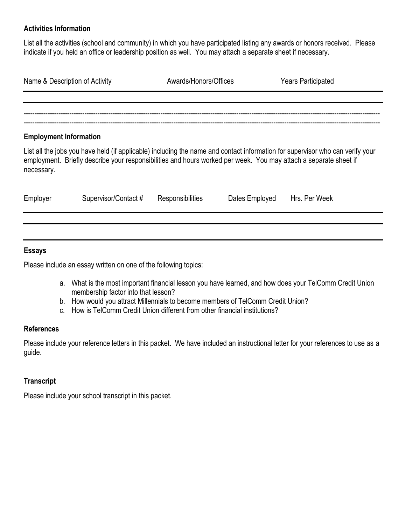#### **Activities Information**

List all the activities (school and community) in which you have participated listing any awards or honors received. Please indicate if you held an office or leadership position as well. You may attach a separate sheet if necessary.

| Name & Description of Activity | Awards/Honors/Offices | <b>Years Participated</b> |  |
|--------------------------------|-----------------------|---------------------------|--|
|                                |                       |                           |  |
|                                |                       |                           |  |
|                                |                       |                           |  |
| <b>Employment Information</b>  |                       |                           |  |

List all the jobs you have held (if applicable) including the name and contact information for supervisor who can verify your employment. Briefly describe your responsibilities and hours worked per week. You may attach a separate sheet if necessary.

| Employer | Supervisor/Contact # | Responsibilities | Dates Employed | Hrs. Per Week |
|----------|----------------------|------------------|----------------|---------------|
|          |                      |                  |                |               |

#### **Essays**

Please include an essay written on one of the following topics:

- a. What is the most important financial lesson you have learned, and how does your TelComm Credit Union membership factor into that lesson?
- b. How would you attract Millennials to become members of TelComm Credit Union?
- c. How is TelComm Credit Union different from other financial institutions?

#### **References**

Please include your reference letters in this packet. We have included an instructional letter for your references to use as a guide.

#### **Transcript**

Please include your school transcript in this packet.